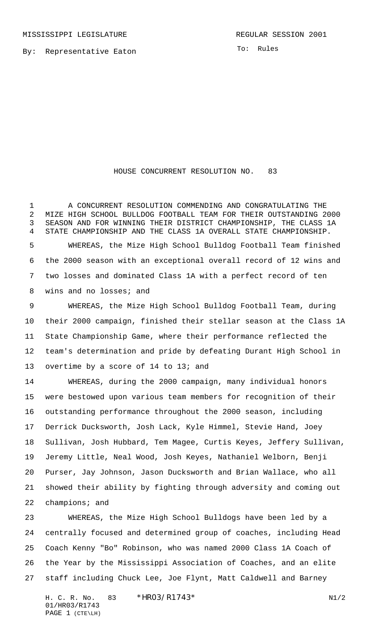By: Representative Eaton

To: Rules

## HOUSE CONCURRENT RESOLUTION NO. 83

 A CONCURRENT RESOLUTION COMMENDING AND CONGRATULATING THE MIZE HIGH SCHOOL BULLDOG FOOTBALL TEAM FOR THEIR OUTSTANDING 2000 SEASON AND FOR WINNING THEIR DISTRICT CHAMPIONSHIP, THE CLASS 1A STATE CHAMPIONSHIP AND THE CLASS 1A OVERALL STATE CHAMPIONSHIP. WHEREAS, the Mize High School Bulldog Football Team finished the 2000 season with an exceptional overall record of 12 wins and two losses and dominated Class 1A with a perfect record of ten wins and no losses; and

 WHEREAS, the Mize High School Bulldog Football Team, during their 2000 campaign, finished their stellar season at the Class 1A State Championship Game, where their performance reflected the team's determination and pride by defeating Durant High School in overtime by a score of 14 to 13; and

 WHEREAS, during the 2000 campaign, many individual honors were bestowed upon various team members for recognition of their outstanding performance throughout the 2000 season, including Derrick Ducksworth, Josh Lack, Kyle Himmel, Stevie Hand, Joey Sullivan, Josh Hubbard, Tem Magee, Curtis Keyes, Jeffery Sullivan, Jeremy Little, Neal Wood, Josh Keyes, Nathaniel Welborn, Benji Purser, Jay Johnson, Jason Ducksworth and Brian Wallace, who all showed their ability by fighting through adversity and coming out champions; and

 WHEREAS, the Mize High School Bulldogs have been led by a centrally focused and determined group of coaches, including Head Coach Kenny "Bo" Robinson, who was named 2000 Class 1A Coach of the Year by the Mississippi Association of Coaches, and an elite staff including Chuck Lee, Joe Flynt, Matt Caldwell and Barney

H. C. R. No.  $83 * HRO3/R1743*$  N1/2 01/HR03/R1743 PAGE 1 (CTE\LH)